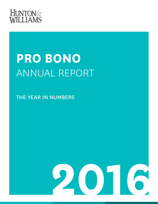

# **PRO BONO** ANNUAL REPORT

THE YEAR IN NUMBERS

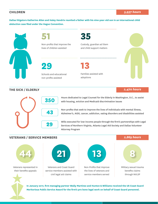## **CHILDREN** *5,937 hours*

**Dallas litigators Katherine Allen and Haley Hendrix reunited a father with his nine-year-old son in an international child abduction case filed under the Hague Convention.** 





Non-profits that improve the lives of children assisted

**29**

Schools and educational non-profits assisted

**35**

Custody, guardian ad litem and child support matters

**13**

Families assisted with adoptions



## **THE SICK / ELDERLY** *2,470 hours*



Hours dedicated to Legal Counsel for the Elderly in Washington, D.C., to assist with housing, eviction and Medicaid discrimination issues

Non-profits that seek to improve the lives of individuals with mental illness, Alzheimer's, AIDS, cancer, addiction, eating disorders and disabilities assisted

Wills executed for low-income people through the firm's partnerships with Legal Services of Northern Virginia, Atlanta Legal Aid Society and Dallas Volunteer Attorney Program

### **VETERANS / SERVICE MEMBERS** *2,869 hours*



Veterans represented in their benefits appeals



Veterans and Coast Guard service members assisted with civil legal aid claims



Non-Profits that improve the lives of veterans and service members served





benefits claims through NVLSP



**In January 2017, firm managing partner Wally Martinez and Hunton & Williams received the US Coast Guard Meritorious Public Service Award for the firm's pro bono legal work on behalf of Coast Guard personnel.**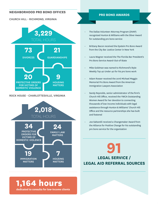#### **NEIGHBORHOOD PRO BONO OFFICES**

#### CHURCH HILL - RICHMOND, VIRGINIA



#### ROCK HOUSE - CHARLOTTESVILLE, VIRGINIA



#### **PRO BONO AWARDS**

- The Dallas Volunteer Attorney Program (DVAP) recognized Hunton & Williams with the Silver Award for outstanding pro bono service
- Brittany Bacon received the Epstein Pro Bono Award from the City Bar Justice Center in New York
- Laura Wagner received the The Florida Bar President's Pro Bono Service Award-Out-of-State
- Mike Goldman was named to Richmond's Style Weekly Top 40 Under 40 for his pro bono work
- Adam Rosser received the 2016 Michael Maggio Memorial Pro Bono Award from the American Immigration Lawyers Association
- Sandy Reynolds, senior administrator of the firm's Church Hill Office, received the YWCA Outstanding Women Award for her devotion to connecting thousands of low-income individuals with legal assistance through Hunton & Williams' Church Hill Office and the resource partnerships she has built and fostered
- Joe Saltarelli received a Changemaker Award from the Alliance for Positive Change for his outstanding pro bono service for the organization

**LEGAL SERVICE / LEGAL AID REFERRAL SOURCES 91**

## **1,164 hours**

**dedicated to consults for low-income clients**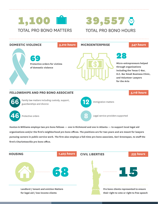

## 39,557 TOTAL PRO BONO HOURS

#### **DOMESTIC VIOLENCE** *3,210 hours* **MICROENTERPRISE** *547 hours*





**Micro-entrepreneurs helped through organizations including the Texas C-Bar, D.C. Bar Small Business Clinic, and Volunteer Lawyers for the Arts**

*5,118 hours*

#### **FELLOWSHIPS AND PRO BONO ASSOCIATE**



**Hunton & Williams employs two pro bono fellows — one in Richmond and one in Atlanta — to support local legal aid organizations and/or the firm's neighborhood pro bono offices. The positions are for two years and are meant for lawyers pursuing careers in public service work. The firm also employs a full-time pro bono associate, Geri Greenspan, to staff the firm's Charlottesville pro bono office.**

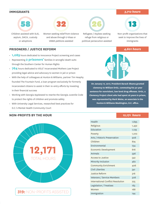#### **IMMIGRANTS** *3,712 hours*





Children assisted with SIJS, asylum, DACA, custody or adoptions

Women seeking relief from violence and abuse through U-Visas or VAWA petitions assisted



Refugees / Asylees seeking refuge from religious or political persecution assisted



Non-profit organizations that seek to improve the lives of immigrants

#### **PRISONERS / JUSTICE REFORM** *4,601 hours*



- Representing **2 prisoners'** families in wrongful death suits through the Southern Center for Human Rights
- **764** hours dedicated to VOLS' Incarcerated Mothers Law Project providing legal advice and advocacy to women in jail or prison
- With the help of colleagues at Hunton & Williams, partner Tim Heaphy founded The Fountain Fund, a loan program exclusively for formerly incarcerated citizens to assist in their re-entry efforts by investing in their financial success
- Working with Georgia Appleseed to rewrite the Georgia Juvenile Code to protect the rights of children and promote safety
- With University Legal Services, researched best practices for D.C.'s Mental Health Community Court

#### **NON-PROFITS BY THE HOUR**





**On January 17, 2017, President Barack Obama granted clemency to William Ortiz, commuting his 50-year sentence for nonviolent, low-level drug offenses. Ortiz, a Clemency Project client who had spent 26 years in prison, was represented by Mark Weiss, an associate in the Hunton & Williams Washington, D.C. office.**

#### *12,171 hours*

| Health                                   | 1,695 |
|------------------------------------------|-------|
| Religious                                | 1,432 |
| Education                                | 1,129 |
| Poverty                                  | 1,072 |
| Arts / Historic Preservation             | 908   |
| Children                                 | 874   |
| Environmental                            | 734   |
| Economic Development                     | 616   |
| Animals                                  | 596   |
| <b>Access to Justice</b>                 | 542   |
| Minority Inclusion                       | 482   |
| <b>Community Enrichment</b>              | 406   |
| <b>Civil Liberties</b>                   | 341   |
| Justice Reform                           | 316   |
| Veterans / Service Members               | 308   |
| <b>International Conflict Resolution</b> | 225   |
| Legislation / Treatises                  | 183   |
| Women                                    | 168   |
| Immigration                              | 144   |